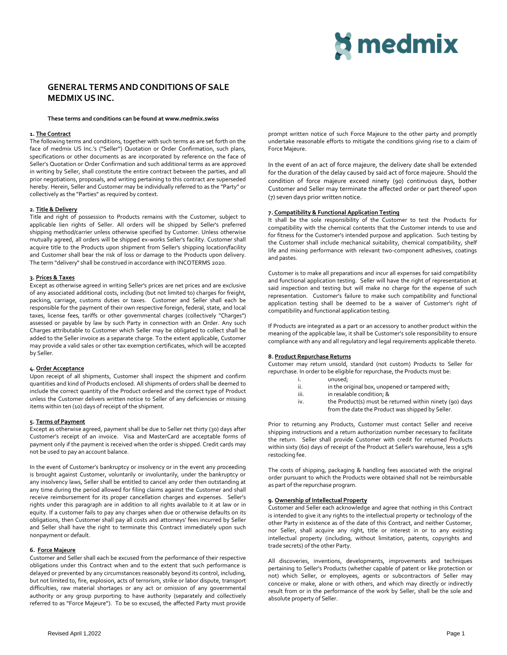# **¤ medmix**

# **GENERAL TERMSANDCONDITIONS OF SALE MEDMIX US INC.**

#### **These terms and conditions can be found at www.medmix.swiss**

### **1. The Contract**

The following terms and conditions, together with such terms as are set forth on the face of medmix US Inc.'s ("Seller") Quotation or Order Confirmation, such plans, specifications or other documents as are incorporated by reference on the face of Seller's Quotation or Order Confirmation and such additional terms as are approved in writing by Seller, shall constitute the entire contract between the parties, and all prior negotiations, proposals, and writing pertaining to this contract are superseded hereby. Herein, Seller and Customer may be individually referred to as the "Party" or collectively as the "Parties" as required by context.

#### **2. Title & Delivery**

Title and right of possession to Products remains with the Customer, subject to applicable lien rights of Seller. All orders will be shipped by Seller's preferred shipping method/carrier unless otherwise specified by Customer. Unless otherwise mutually agreed, all orders will be shipped ex-works Seller's facility. Customer shall acquire title to the Products upon shipment from Seller's shipping location/facility and Customer shall bear the risk of loss or damage to the Products upon delivery. The term "delivery" shall be construed in accordance with INCOTERMS 2020.

# **3. Prices & Taxes**

Except as otherwise agreed in writing Seller's prices are net prices and are exclusive of any associated additional costs, including (but not limited to) charges for freight, packing, carriage, customs duties or taxes. Customer and Seller shall each be responsible for the payment of their own respective foreign, federal, state, and local taxes, license fees, tariffs or other governmental charges (collectively "Charges") assessed or payable by law by such Party in connection with an Order. Any such Charges attributable to Customer which Seller may be obligated to collect shall be added to the Seller invoice as a separate charge. To the extent applicable, Customer may provide a valid sales or other tax exemption certificates, which will be accepted by Seller.

### **4. Order Acceptance**

Upon receipt of all shipments, Customer shall inspect the shipment and confirm quantities and kind of Products enclosed. All shipments of orders shall be deemed to include the correct quantity of the Product ordered and the correct type of Product unless the Customer delivers written notice to Seller of any deficiencies or missing items within ten (10) days of receipt of the shipment.

## **5. Terms of Payment**

Except as otherwise agreed, payment shall be due to Seller net thirty (30) days after Customer's receipt of an invoice. Visa and MasterCard are acceptable forms of payment only if the payment is received when the order is shipped. Credit cards may not be used to pay an account balance.

In the event of Customer's bankruptcy or insolvency or in the event any proceeding is brought against Customer, voluntarily or involuntarily, under the bankruptcy or any insolvency laws, Seller shall be entitled to cancel any order then outstanding at any time during the period allowed for filing claims against the Customer and shall receive reimbursement for its proper cancellation charges and expenses. Seller's rights under this paragraph are in addition to all rights available to it at law or in equity. If a customer fails to pay any charges when due or otherwise defaults on its obligations, then Customer shall pay all costs and attorneys' fees incurred by Seller and Seller shall have the right to terminate this Contract immediately upon such nonpayment or default.

#### **6. Force Majeure**

Customer and Seller shall each be excused from the performance of their respective obligations under this Contract when and to the extent that such performance is delayed or prevented by any circumstances reasonably beyond its control, including, but not limited to, fire, explosion, acts of terrorism, strike or labor dispute, transport difficulties, raw material shortages or any act or omission of any governmental authority or any group purporting to have authority (separately and collectively referred to as "Force Majeure"). To be so excused, the affected Party must provide

prompt written notice of such Force Majeure to the other party and promptly undertake reasonable efforts to mitigate the conditions giving rise to a claim of Force Majeure.

In the event of an act of force majeure, the delivery date shall be extended for the duration of the delay caused by said act of force majeure. Should the condition of force majeure exceed ninety (90) continuous days, bother Customer and Seller may terminate the affected order or part thereof upon (7) seven days prior written notice.

# **7. Compatibility & Functional Application Testing**

It shall be the sole responsibility of the Customer to test the Products for compatibility with the chemical contents that the Customer intends to use and for fitness for the Customer's intended purpose and application. Such testing by the Customer shall include mechanical suitability, chemical compatibility, shelf life and mixing performance with relevant two-component adhesives, coatings and pastes.

Customer is to make all preparations and incur all expenses for said compatibility and functional application testing. Seller will have the right of representation at said inspection and testing but will make no charge for the expense of such representation. Customer's failure to make such compatibility and functional application testing shall be deemed to be a waiver of Customer's right of compatibility and functional application testing.

If Products are integrated as a part or an accessory to another product within the meaning of the applicable law, it shall be Customer's sole responsibility to ensure compliance with any and all regulatory and legal requirements applicable thereto.

#### **8. Product Repurchase Returns**

Customer may return unsold, standard (not custom) Products to Seller for repurchase. In order to be eligible for repurchase, the Products must be:

- i. unused; in the original box, unopened or tampered with;
- iii. in resalable condition: &
- 
- iv. the Product(s) must be returned within ninety (90) days from the date the Product was shipped by Seller.

Prior to returning any Products, Customer must contact Seller and receive shipping instructions and a return authorization number necessary to facilitate the return. Seller shall provide Customer with credit for returned Products within sixty (60) days of receipt of the Product at Seller's warehouse, less a 15% restocking fee.

The costs of shipping, packaging & handling fees associated with the original order pursuant to which the Products were obtained shall not be reimbursable as part of the repurchase program.

# **9. Ownership of Intellectual Property**

Customer and Seller each acknowledge and agree that nothing in this Contract is intended to give it any rights to the intellectual property or technology of the other Party in existence as of the date of this Contract, and neither Customer, nor Seller, shall acquire any right, title or interest in or to any existing intellectual property (including, without limitation, patents, copyrights and trade secrets) of the other Party.

All discoveries, inventions, developments, improvements and techniques pertaining to Seller's Products (whether capable of patent or like protection or not) which Seller, or employees, agents or subcontractors of Seller may conceive or make, alone or with others, and which may directly or indirectly result from or in the performance of the work by Seller, shall be the sole and absolute property of Seller.